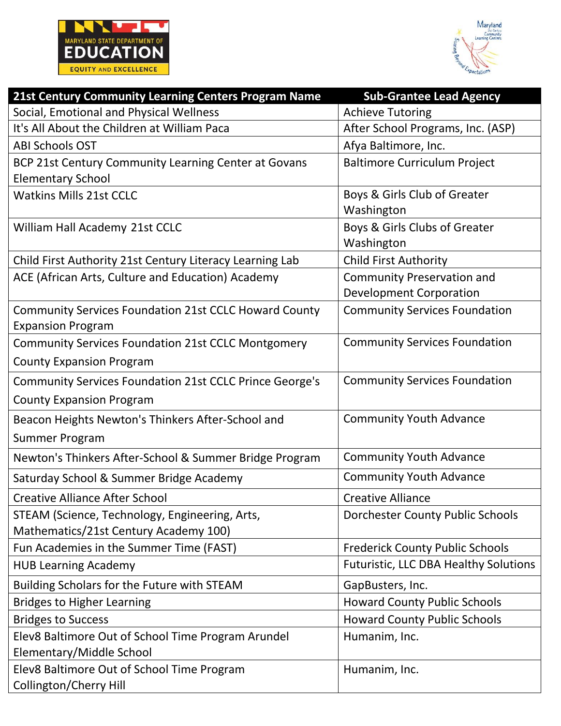



| 21st Century Community Learning Centers Program Name                              | <b>Sub-Grantee Lead Agency</b>               |
|-----------------------------------------------------------------------------------|----------------------------------------------|
| Social, Emotional and Physical Wellness                                           | <b>Achieve Tutoring</b>                      |
| It's All About the Children at William Paca                                       | After School Programs, Inc. (ASP)            |
| <b>ABI Schools OST</b>                                                            | Afya Baltimore, Inc.                         |
| BCP 21st Century Community Learning Center at Govans                              | <b>Baltimore Curriculum Project</b>          |
| <b>Elementary School</b>                                                          |                                              |
| <b>Watkins Mills 21st CCLC</b>                                                    | Boys & Girls Club of Greater                 |
|                                                                                   | Washington                                   |
| William Hall Academy 21st CCLC                                                    | Boys & Girls Clubs of Greater                |
|                                                                                   | Washington                                   |
| Child First Authority 21st Century Literacy Learning Lab                          | <b>Child First Authority</b>                 |
| ACE (African Arts, Culture and Education) Academy                                 | <b>Community Preservation and</b>            |
|                                                                                   | <b>Development Corporation</b>               |
| Community Services Foundation 21st CCLC Howard County<br><b>Expansion Program</b> | <b>Community Services Foundation</b>         |
| <b>Community Services Foundation 21st CCLC Montgomery</b>                         | <b>Community Services Foundation</b>         |
| <b>County Expansion Program</b>                                                   |                                              |
| <b>Community Services Foundation 21st CCLC Prince George's</b>                    | <b>Community Services Foundation</b>         |
| <b>County Expansion Program</b>                                                   |                                              |
| Beacon Heights Newton's Thinkers After-School and                                 | <b>Community Youth Advance</b>               |
| <b>Summer Program</b>                                                             |                                              |
| Newton's Thinkers After-School & Summer Bridge Program                            | <b>Community Youth Advance</b>               |
| Saturday School & Summer Bridge Academy                                           | <b>Community Youth Advance</b>               |
| <b>Creative Alliance After School</b>                                             | <b>Creative Alliance</b>                     |
| STEAM (Science, Technology, Engineering, Arts,                                    | <b>Dorchester County Public Schools</b>      |
| Mathematics/21st Century Academy 100)                                             |                                              |
| Fun Academies in the Summer Time (FAST)                                           | <b>Frederick County Public Schools</b>       |
| <b>HUB Learning Academy</b>                                                       | <b>Futuristic, LLC DBA Healthy Solutions</b> |
| Building Scholars for the Future with STEAM                                       | GapBusters, Inc.                             |
| <b>Bridges to Higher Learning</b>                                                 | <b>Howard County Public Schools</b>          |
| <b>Bridges to Success</b>                                                         | <b>Howard County Public Schools</b>          |
| Elev8 Baltimore Out of School Time Program Arundel                                | Humanim, Inc.                                |
| Elementary/Middle School                                                          |                                              |
| Elev8 Baltimore Out of School Time Program                                        | Humanim, Inc.                                |
| Collington/Cherry Hill                                                            |                                              |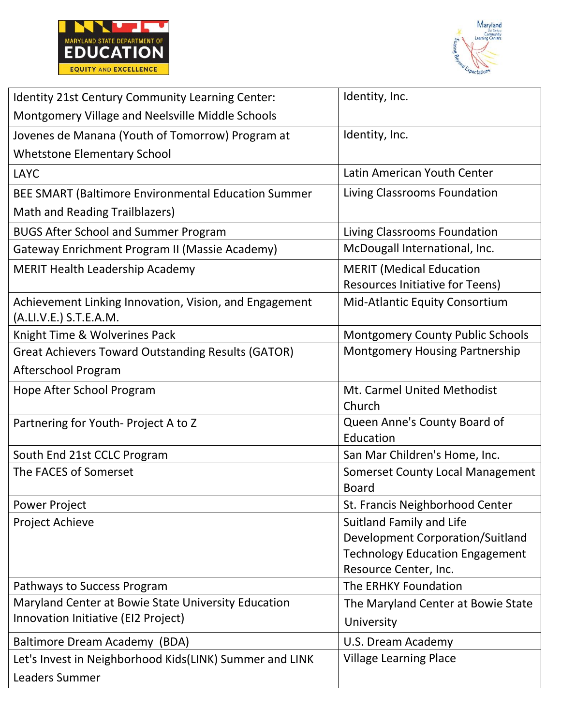



| Identity 21st Century Community Learning Center:                                 | Identity, Inc.                                                                                                                  |
|----------------------------------------------------------------------------------|---------------------------------------------------------------------------------------------------------------------------------|
| Montgomery Village and Neelsville Middle Schools                                 |                                                                                                                                 |
| Jovenes de Manana (Youth of Tomorrow) Program at                                 | Identity, Inc.                                                                                                                  |
| <b>Whetstone Elementary School</b>                                               |                                                                                                                                 |
| <b>LAYC</b>                                                                      | Latin American Youth Center                                                                                                     |
| BEE SMART (Baltimore Environmental Education Summer                              | Living Classrooms Foundation                                                                                                    |
| Math and Reading Trailblazers)                                                   |                                                                                                                                 |
| <b>BUGS After School and Summer Program</b>                                      | Living Classrooms Foundation                                                                                                    |
| Gateway Enrichment Program II (Massie Academy)                                   | McDougall International, Inc.                                                                                                   |
| <b>MERIT Health Leadership Academy</b>                                           | <b>MERIT</b> (Medical Education<br><b>Resources Initiative for Teens)</b>                                                       |
| Achievement Linking Innovation, Vision, and Engagement<br>(A.LI.V.E.) S.T.E.A.M. | Mid-Atlantic Equity Consortium                                                                                                  |
| Knight Time & Wolverines Pack                                                    | <b>Montgomery County Public Schools</b>                                                                                         |
| <b>Great Achievers Toward Outstanding Results (GATOR)</b>                        | Montgomery Housing Partnership                                                                                                  |
| Afterschool Program                                                              |                                                                                                                                 |
| Hope After School Program                                                        | Mt. Carmel United Methodist<br>Church                                                                                           |
| Partnering for Youth-Project A to Z                                              | Queen Anne's County Board of<br>Education                                                                                       |
| South End 21st CCLC Program                                                      | San Mar Children's Home, Inc.                                                                                                   |
| The FACES of Somerset                                                            | <b>Somerset County Local Management</b><br><b>Board</b>                                                                         |
| <b>Power Project</b>                                                             | St. Francis Neighborhood Center                                                                                                 |
| Project Achieve                                                                  | Suitland Family and Life<br>Development Corporation/Suitland<br><b>Technology Education Engagement</b><br>Resource Center, Inc. |
| Pathways to Success Program                                                      | The ERHKY Foundation                                                                                                            |
| Maryland Center at Bowie State University Education                              | The Maryland Center at Bowie State                                                                                              |
| Innovation Initiative (EI2 Project)                                              | University                                                                                                                      |
| Baltimore Dream Academy (BDA)                                                    | U.S. Dream Academy                                                                                                              |
| Let's Invest in Neighborhood Kids(LINK) Summer and LINK                          | <b>Village Learning Place</b>                                                                                                   |
| Leaders Summer                                                                   |                                                                                                                                 |